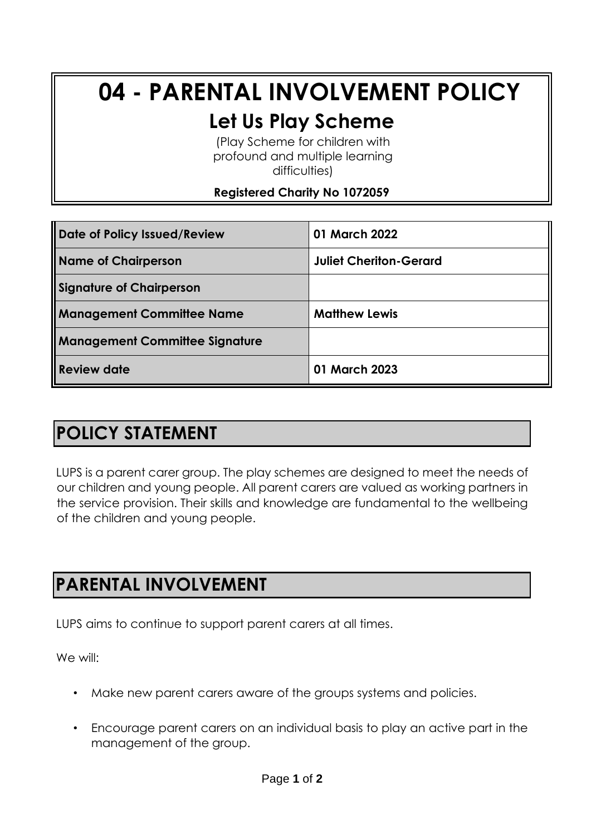# **04 - PARENTAL INVOLVEMENT POLICY**

## **Let Us Play Scheme**

(Play Scheme for children with profound and multiple learning difficulties)

#### **Registered Charity No 1072059**

| Date of Policy Issued/Review          | 01 March 2022                 |
|---------------------------------------|-------------------------------|
| <b>Name of Chairperson</b>            | <b>Juliet Cheriton-Gerard</b> |
| <b>Signature of Chairperson</b>       |                               |
| <b>Management Committee Name</b>      | <b>Matthew Lewis</b>          |
| <b>Management Committee Signature</b> |                               |
| <b>Review date</b>                    | 01 March 2023                 |

### **POLICY STATEMENT**

LUPS is a parent carer group. The play schemes are designed to meet the needs of our children and young people. All parent carers are valued as working partners in the service provision. Their skills and knowledge are fundamental to the wellbeing of the children and young people.

### **PARENTAL INVOLVEMENT**

LUPS aims to continue to support parent carers at all times.

We will:

- Make new parent carers aware of the groups systems and policies.
- Encourage parent carers on an individual basis to play an active part in the management of the group.